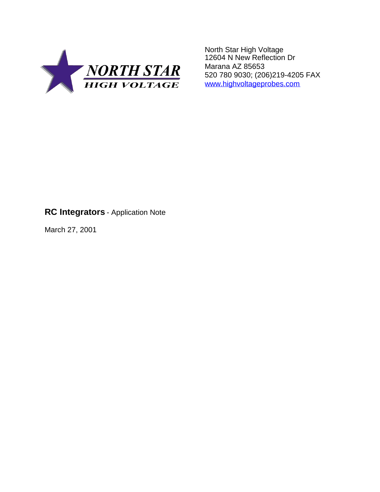

North Star High Voltage 12604 N New Reflection Dr Marana AZ 85653 520 780 9030; (206)219-4205 FAX www.highvoltageprobes.com

## **RC Integrators** - Application Note

March 27, 2001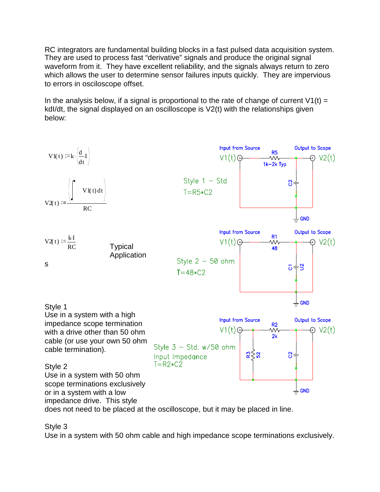RC integrators are fundamental building blocks in a fast pulsed data acquisition system. They are used to process fast "derivative" signals and produce the original signal waveform from it. They have excellent reliability, and the signals always return to zero which allows the user to determine sensor failures inputs quickly. They are impervious to errors in osciloscope offset.

In the analysis below, if a signal is proportional to the rate of change of current  $V_1(t) =$ kdI/dt, the signal displayed on an oscilloscope is V2(t) with the relationships given below:



does not need to be placed at the oscilloscope, but it may be placed in line.

Style 3

Use in a system with 50 ohm cable and high impedance scope terminations exclusively.